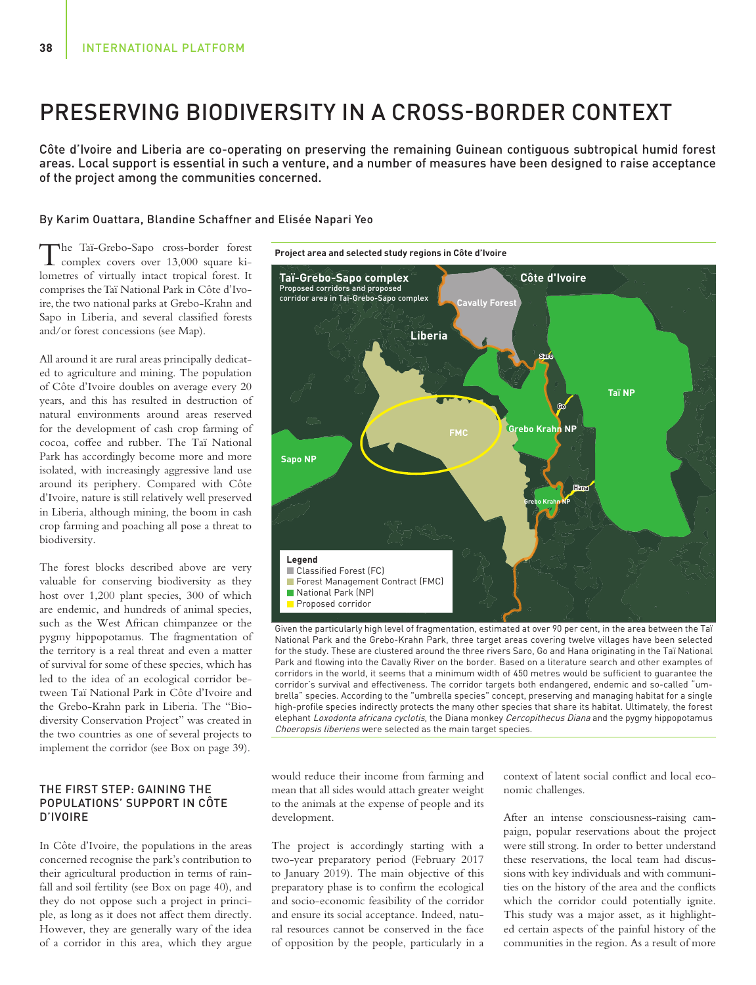# PRESERVING BIODIVERSITY IN A CROSS-BORDER CONTEXT

Côte d'Ivoire and Liberia are co-operating on preserving the remaining Guinean contiguous subtropical humid forest areas. Local support is essential in such a venture, and a number of measures have been designed to raise acceptance of the project among the communities concerned.

### By Karim Ouattara, Blandine Schaffner and Elisée Napari Yeo

The Taï-Grebo-Sapo cross-border forest  $\perp$  complex covers over 13,000 square kilometres of virtually intact tropical forest. It comprises the Taï National Park in Côte d'Ivoire, the two national parks at Grebo-Krahn and Sapo in Liberia, and several classified forests and/or forest concessions (see Map).

All around it are rural areas principally dedicated to agriculture and mining. The population of Côte d'Ivoire doubles on average every 20 years, and this has resulted in destruction of natural environments around areas reserved for the development of cash crop farming of cocoa, coffee and rubber. The Taï National Park has accordingly become more and more isolated, with increasingly aggressive land use around its periphery. Compared with Côte d'Ivoire, nature is still relatively well preserved in Liberia, although mining, the boom in cash crop farming and poaching all pose a threat to biodiversity.

The forest blocks described above are very valuable for conserving biodiversity as they host over 1,200 plant species, 300 of which are endemic, and hundreds of animal species, such as the West African chimpanzee or the pygmy hippopotamus. The fragmentation of the territory is a real threat and even a matter of survival for some of these species, which has led to the idea of an ecological corridor between Taï National Park in Côte d'Ivoire and the Grebo-Krahn park in Liberia. The "Biodiversity Conservation Project" was created in the two countries as one of several projects to implement the corridor (see Box on page 39).

# THE FIRST STEP: GAINING THE POPULATIONS' SUPPORT IN CÔTE D'IVOIRE

In Côte d'Ivoire, the populations in the areas concerned recognise the park's contribution to their agricultural production in terms of rainfall and soil fertility (see Box on page 40), and they do not oppose such a project in principle, as long as it does not affect them directly. However, they are generally wary of the idea of a corridor in this area, which they argue



National Park and the Grebo-Krahn Park, three target areas covering twelve villages have been selected for the study. These are clustered around the three rivers Saro, Go and Hana originating in the Taï National Park and flowing into the Cavally River on the border. Based on a literature search and other examples of corridors in the world, it seems that a minimum width of 450 metres would be sufficient to guarantee the corridor's survival and effectiveness. The corridor targets both endangered, endemic and so-called "umbrella" species. According to the "umbrella species" concept, preserving and managing habitat for a single high-profile species indirectly protects the many other species that share its habitat. Ultimately, the forest elephant Loxodonta africana cyclotis, the Diana monkey Cercopithecus Diana and the pygmy hippopotamus Choeropsis liberiens were selected as the main target species.

would reduce their income from farming and mean that all sides would attach greater weight to the animals at the expense of people and its development.

The project is accordingly starting with a two-year preparatory period (February 2017 to January 2019). The main objective of this preparatory phase is to confirm the ecological and socio-economic feasibility of the corridor and ensure its social acceptance. Indeed, natural resources cannot be conserved in the face of opposition by the people, particularly in a

context of latent social conflict and local economic challenges.

After an intense consciousness-raising campaign, popular reservations about the project were still strong. In order to better understand these reservations, the local team had discussions with key individuals and with communities on the history of the area and the conflicts which the corridor could potentially ignite. This study was a major asset, as it highlighted certain aspects of the painful history of the communities in the region. As a result of more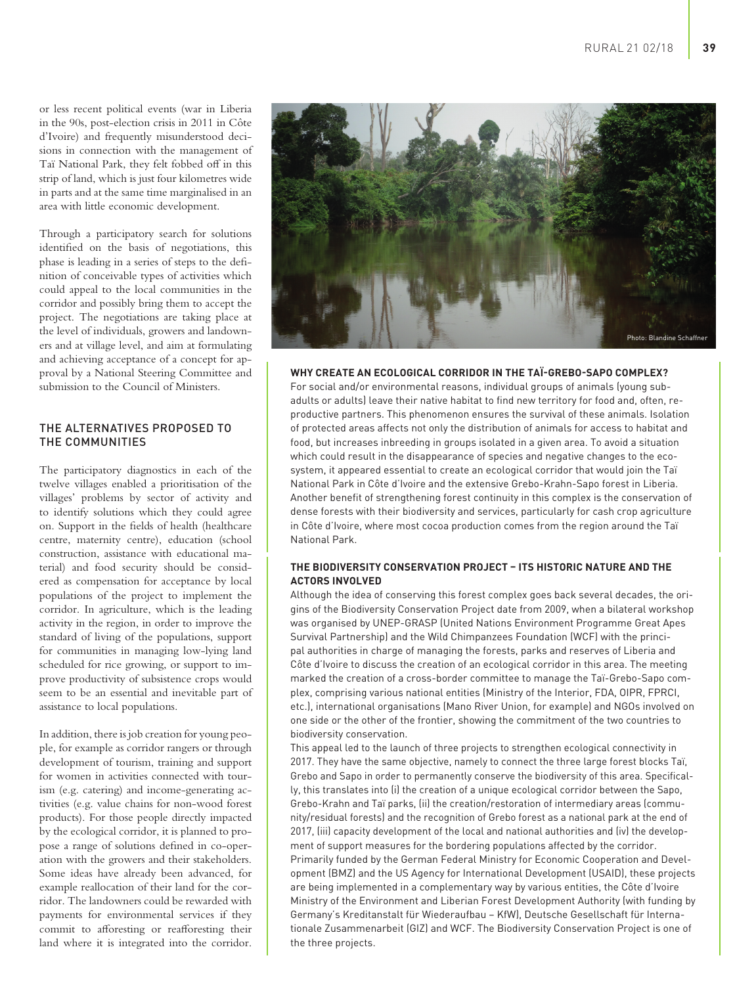or less recent political events (war in Liberia in the 90s, post-election crisis in 2011 in Côte d'Ivoire) and frequently misunderstood decisions in connection with the management of Taï National Park, they felt fobbed off in this strip of land, which is just four kilometres wide in parts and at the same time marginalised in an area with little economic development.

Through a participatory search for solutions identified on the basis of negotiations, this phase is leading in a series of steps to the definition of conceivable types of activities which could appeal to the local communities in the corridor and possibly bring them to accept the project. The negotiations are taking place at the level of individuals, growers and landowners and at village level, and aim at formulating and achieving acceptance of a concept for approval by a National Steering Committee and submission to the Council of Ministers.

## THE ALTERNATIVES PROPOSED TO THE COMMUNITIES

The participatory diagnostics in each of the twelve villages enabled a prioritisation of the villages' problems by sector of activity and to identify solutions which they could agree on. Support in the fields of health (healthcare centre, maternity centre), education (school construction, assistance with educational material) and food security should be considered as compensation for acceptance by local populations of the project to implement the corridor. In agriculture, which is the leading activity in the region, in order to improve the standard of living of the populations, support for communities in managing low-lying land scheduled for rice growing, or support to improve productivity of subsistence crops would seem to be an essential and inevitable part of assistance to local populations.

In addition, there is job creation for young people, for example as corridor rangers or through development of tourism, training and support for women in activities connected with tourism (e.g. catering) and income-generating activities (e.g. value chains for non-wood forest products). For those people directly impacted by the ecological corridor, it is planned to propose a range of solutions defined in co-operation with the growers and their stakeholders. Some ideas have already been advanced, for example reallocation of their land for the corridor. The landowners could be rewarded with payments for environmental services if they commit to afforesting or reafforesting their land where it is integrated into the corridor.



**WHY CREATE AN ECOLOGICAL CORRIDOR IN THE TAÏ-GREBO-SAPO COMPLEX?**

For social and/or environmental reasons, individual groups of animals (young subadults or adults) leave their native habitat to find new territory for food and, often, reproductive partners. This phenomenon ensures the survival of these animals. Isolation of protected areas affects not only the distribution of animals for access to habitat and food, but increases inbreeding in groups isolated in a given area. To avoid a situation which could result in the disappearance of species and negative changes to the ecosystem, it appeared essential to create an ecological corridor that would join the Taï National Park in Côte d'Ivoire and the extensive Grebo-Krahn-Sapo forest in Liberia. Another benefit of strengthening forest continuity in this complex is the conservation of dense forests with their biodiversity and services, particularly for cash crop agriculture in Côte d'Ivoire, where most cocoa production comes from the region around the Taï National Park.

# **THE BIODIVERSITY CONSERVATION PROJECT – ITS HISTORIC NATURE AND THE ACTORS INVOLVED**

Although the idea of conserving this forest complex goes back several decades, the origins of the Biodiversity Conservation Project date from 2009, when a bilateral workshop was organised by UNEP-GRASP (United Nations Environment Programme Great Apes Survival Partnership) and the Wild Chimpanzees Foundation (WCF) with the principal authorities in charge of managing the forests, parks and reserves of Liberia and Côte d'Ivoire to discuss the creation of an ecological corridor in this area. The meeting marked the creation of a cross-border committee to manage the Taï-Grebo-Sapo complex, comprising various national entities (Ministry of the Interior, FDA, OIPR, FPRCI, etc.), international organisations (Mano River Union, for example) and NGOs involved on one side or the other of the frontier, showing the commitment of the two countries to biodiversity conservation.

This appeal led to the launch of three projects to strengthen ecological connectivity in 2017. They have the same objective, namely to connect the three large forest blocks Taï, Grebo and Sapo in order to permanently conserve the biodiversity of this area. Specifically, this translates into (i) the creation of a unique ecological corridor between the Sapo, Grebo-Krahn and Taï parks, (ii) the creation/restoration of intermediary areas (community/residual forests) and the recognition of Grebo forest as a national park at the end of 2017, (iii) capacity development of the local and national authorities and (iv) the development of support measures for the bordering populations affected by the corridor. Primarily funded by the German Federal Ministry for Economic Cooperation and Development (BMZ) and the US Agency for International Development (USAID), these projects are being implemented in a complementary way by various entities, the Côte d'Ivoire Ministry of the Environment and Liberian Forest Development Authority (with funding by Germany's Kreditanstalt für Wiederaufbau – KfW), Deutsche Gesellschaft für Internationale Zusammenarbeit (GIZ) and WCF. The Biodiversity Conservation Project is one of the three projects.